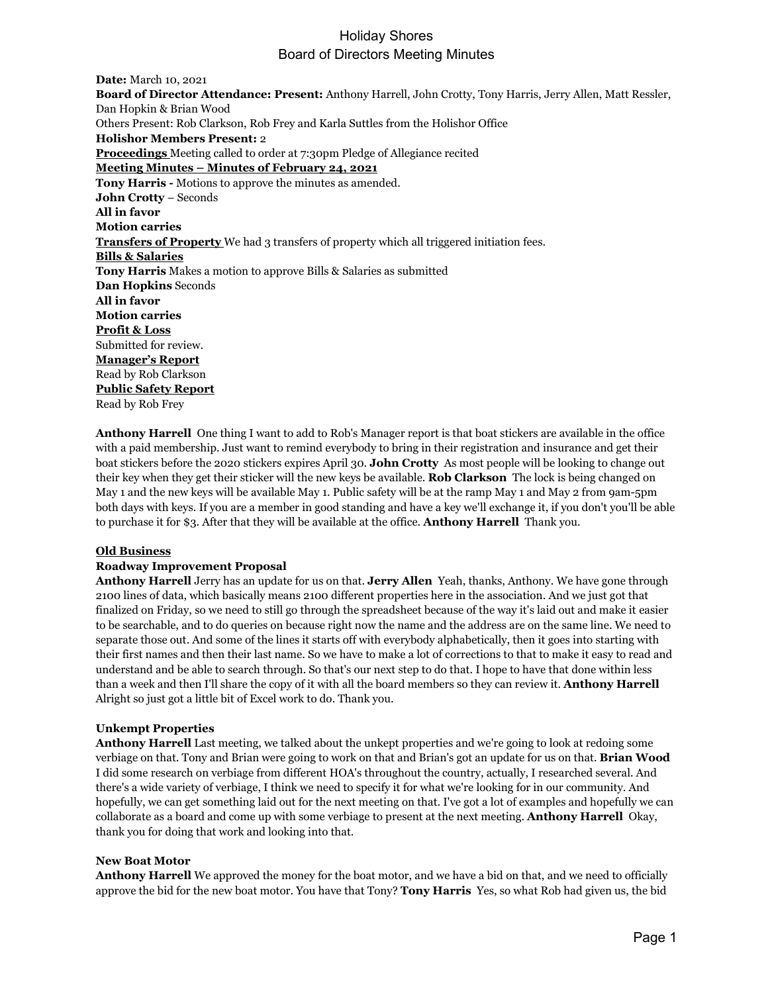**Date:** March 10, 2021 **Board of Director Attendance: Present:** Anthony Harrell, John Crotty, Tony Harris, Jerry Allen, Matt Ressler, Dan Hopkin & Brian Wood Others Present: Rob Clarkson, Rob Frey and Karla Suttles from the Holishor Office **Holishor Members Present:** 2 **Proceedings** Meeting called to order at 7:30pm Pledge of Allegiance recited **Meeting Minutes – Minutes of February 24, 2021 Tony Harris -** Motions to approve the minutes as amended. **John Crotty** – Seconds **All in favor Motion carries Transfers of Property** We had 3 transfers of property which all triggered initiation fees. **Bills & Salaries Tony Harris** Makes a motion to approve Bills & Salaries as submitted **Dan Hopkins** Seconds **All in favor Motion carries Profit & Loss** Submitted for review. **Manager's Report** Read by Rob Clarkson **Public Safety Report** Read by Rob Frey

**Anthony Harrell** One thing I want to add to Rob's Manager report is that boat stickers are available in the office with a paid membership. Just want to remind everybody to bring in their registration and insurance and get their boat stickers before the 2020 stickers expires April 30. **John Crotty** As most people will be looking to change out their key when they get their sticker will the new keys be available. **Rob Clarkson** The lock is being changed on May 1 and the new keys will be available May 1. Public safety will be at the ramp May 1 and May 2 from 9am-5pm both days with keys. If you are a member in good standing and have a key we'll exchange it, if you don't you'll be able to purchase it for \$3. After that they will be available at the office. **Anthony Harrell** Thank you.

#### **Old Business**

### **Roadway Improvement Proposal**

**Anthony Harrell** Jerry has an update for us on that. **Jerry Allen** Yeah, thanks, Anthony. We have gone through 2100 lines of data, which basically means 2100 different properties here in the association. And we just got that finalized on Friday, so we need to still go through the spreadsheet because of the way it's laid out and make it easier to be searchable, and to do queries on because right now the name and the address are on the same line. We need to separate those out. And some of the lines it starts off with everybody alphabetically, then it goes into starting with their first names and then their last name. So we have to make a lot of corrections to that to make it easy to read and understand and be able to search through. So that's our next step to do that. I hope to have that done within less than a week and then I'll share the copy of it with all the board members so they can review it. **Anthony Harrell**  Alright so just got a little bit of Excel work to do. Thank you.

### **Unkempt Properties**

**Anthony Harrell** Last meeting, we talked about the unkept properties and we're going to look at redoing some verbiage on that. Tony and Brian were going to work on that and Brian's got an update for us on that. **Brian Wood**  I did some research on verbiage from different HOA's throughout the country, actually, I researched several. And there's a wide variety of verbiage, I think we need to specify it for what we're looking for in our community. And hopefully, we can get something laid out for the next meeting on that. I've got a lot of examples and hopefully we can collaborate as a board and come up with some verbiage to present at the next meeting. **Anthony Harrell** Okay, thank you for doing that work and looking into that.

### **New Boat Motor**

**Anthony Harrell** We approved the money for the boat motor, and we have a bid on that, and we need to officially approve the bid for the new boat motor. You have that Tony? **Tony Harris** Yes, so what Rob had given us, the bid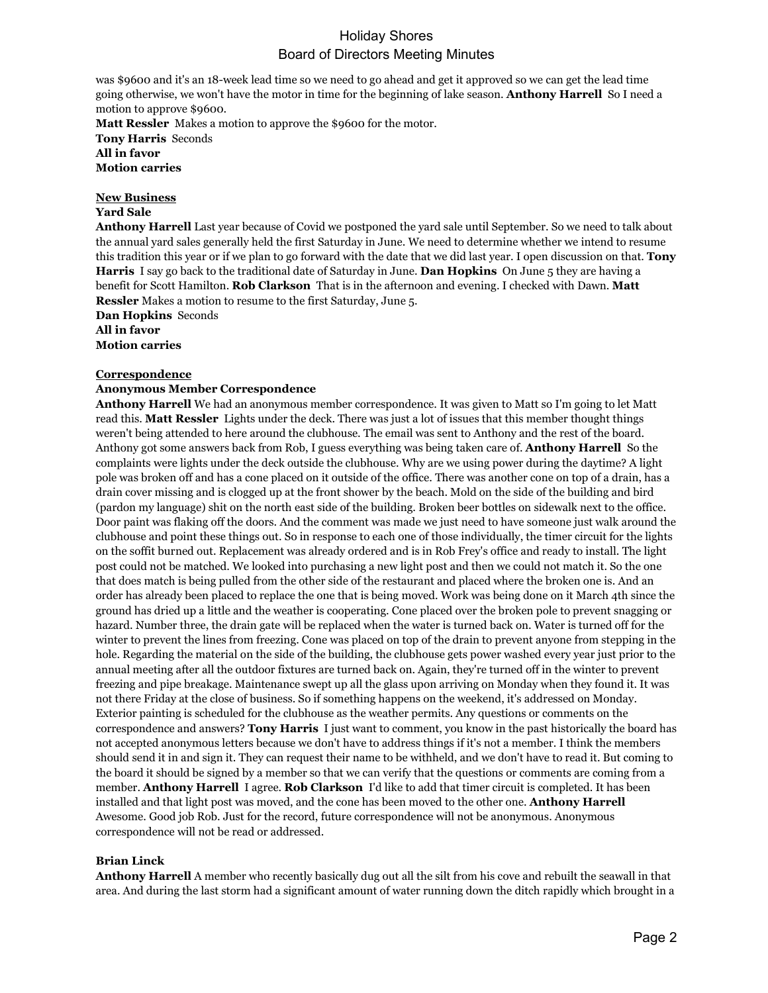was \$9600 and it's an 18-week lead time so we need to go ahead and get it approved so we can get the lead time going otherwise, we won't have the motor in time for the beginning of lake season. **Anthony Harrell** So I need a motion to approve \$9600.

**Matt Ressler** Makes a motion to approve the \$9600 for the motor. **Tony Harris** Seconds **All in favor Motion carries**

# **New Business**

## **Yard Sale**

**Anthony Harrell** Last year because of Covid we postponed the yard sale until September. So we need to talk about the annual yard sales generally held the first Saturday in June. We need to determine whether we intend to resume this tradition this year or if we plan to go forward with the date that we did last year. I open discussion on that. **Tony Harris** I say go back to the traditional date of Saturday in June. **Dan Hopkins** On June 5 they are having a benefit for Scott Hamilton. **Rob Clarkson** That is in the afternoon and evening. I checked with Dawn. **Matt Ressler** Makes a motion to resume to the first Saturday, June 5.

**Dan Hopkins** Seconds **All in favor Motion carries**

### **Correspondence**

### **Anonymous Member Correspondence**

**Anthony Harrell** We had an anonymous member correspondence. It was given to Matt so I'm going to let Matt read this. **Matt Ressler** Lights under the deck. There was just a lot of issues that this member thought things weren't being attended to here around the clubhouse. The email was sent to Anthony and the rest of the board. Anthony got some answers back from Rob, I guess everything was being taken care of. **Anthony Harrell** So the complaints were lights under the deck outside the clubhouse. Why are we using power during the daytime? A light pole was broken off and has a cone placed on it outside of the office. There was another cone on top of a drain, has a drain cover missing and is clogged up at the front shower by the beach. Mold on the side of the building and bird (pardon my language) shit on the north east side of the building. Broken beer bottles on sidewalk next to the office. Door paint was flaking off the doors. And the comment was made we just need to have someone just walk around the clubhouse and point these things out. So in response to each one of those individually, the timer circuit for the lights on the soffit burned out. Replacement was already ordered and is in Rob Frey's office and ready to install. The light post could not be matched. We looked into purchasing a new light post and then we could not match it. So the one that does match is being pulled from the other side of the restaurant and placed where the broken one is. And an order has already been placed to replace the one that is being moved. Work was being done on it March 4th since the ground has dried up a little and the weather is cooperating. Cone placed over the broken pole to prevent snagging or hazard. Number three, the drain gate will be replaced when the water is turned back on. Water is turned off for the winter to prevent the lines from freezing. Cone was placed on top of the drain to prevent anyone from stepping in the hole. Regarding the material on the side of the building, the clubhouse gets power washed every year just prior to the annual meeting after all the outdoor fixtures are turned back on. Again, they're turned off in the winter to prevent freezing and pipe breakage. Maintenance swept up all the glass upon arriving on Monday when they found it. It was not there Friday at the close of business. So if something happens on the weekend, it's addressed on Monday. Exterior painting is scheduled for the clubhouse as the weather permits. Any questions or comments on the correspondence and answers? **Tony Harris** I just want to comment, you know in the past historically the board has not accepted anonymous letters because we don't have to address things if it's not a member. I think the members should send it in and sign it. They can request their name to be withheld, and we don't have to read it. But coming to the board it should be signed by a member so that we can verify that the questions or comments are coming from a member. **Anthony Harrell** I agree. **Rob Clarkson** I'd like to add that timer circuit is completed. It has been installed and that light post was moved, and the cone has been moved to the other one. **Anthony Harrell**  Awesome. Good job Rob. Just for the record, future correspondence will not be anonymous. Anonymous correspondence will not be read or addressed.

### **Brian Linck**

**Anthony Harrell** A member who recently basically dug out all the silt from his cove and rebuilt the seawall in that area. And during the last storm had a significant amount of water running down the ditch rapidly which brought in a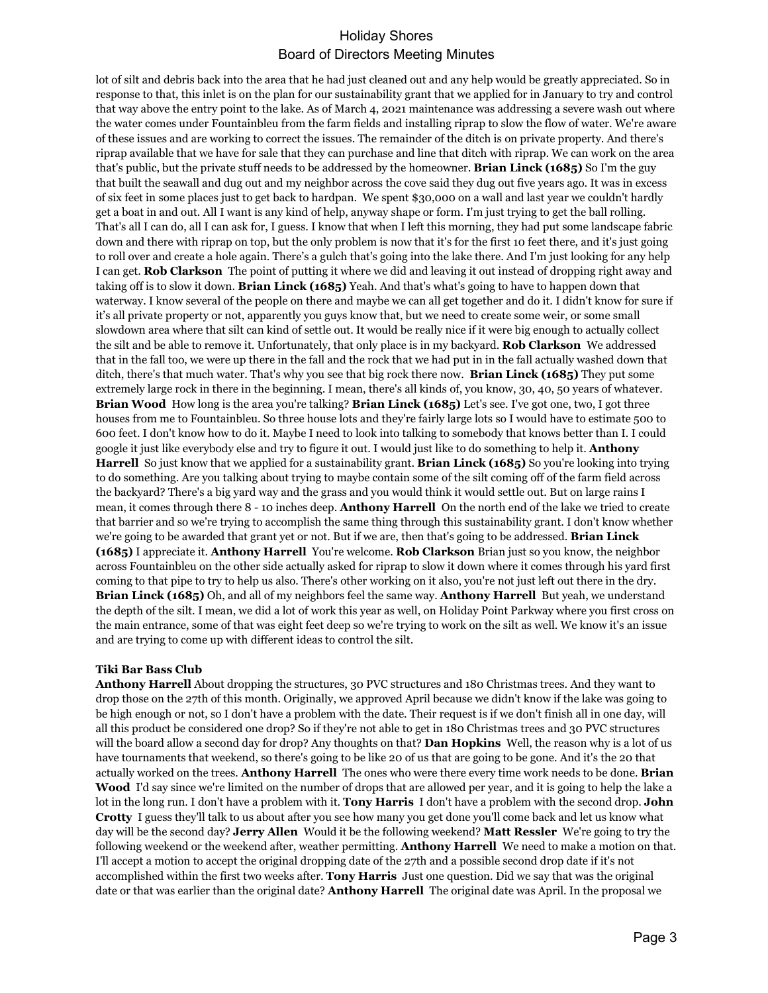lot of silt and debris back into the area that he had just cleaned out and any help would be greatly appreciated. So in response to that, this inlet is on the plan for our sustainability grant that we applied for in January to try and control that way above the entry point to the lake. As of March 4, 2021 maintenance was addressing a severe wash out where the water comes under Fountainbleu from the farm fields and installing riprap to slow the flow of water. We're aware of these issues and are working to correct the issues. The remainder of the ditch is on private property. And there's riprap available that we have for sale that they can purchase and line that ditch with riprap. We can work on the area that's public, but the private stuff needs to be addressed by the homeowner. **Brian Linck (1685)** So I'm the guy that built the seawall and dug out and my neighbor across the cove said they dug out five years ago. It was in excess of six feet in some places just to get back to hardpan. We spent \$30,000 on a wall and last year we couldn't hardly get a boat in and out. All I want is any kind of help, anyway shape or form. I'm just trying to get the ball rolling. That's all I can do, all I can ask for, I guess. I know that when I left this morning, they had put some landscape fabric down and there with riprap on top, but the only problem is now that it's for the first 10 feet there, and it's just going to roll over and create a hole again. There's a gulch that's going into the lake there. And I'm just looking for any help I can get. **Rob Clarkson** The point of putting it where we did and leaving it out instead of dropping right away and taking off is to slow it down. **Brian Linck (1685)** Yeah. And that's what's going to have to happen down that waterway. I know several of the people on there and maybe we can all get together and do it. I didn't know for sure if it's all private property or not, apparently you guys know that, but we need to create some weir, or some small slowdown area where that silt can kind of settle out. It would be really nice if it were big enough to actually collect the silt and be able to remove it. Unfortunately, that only place is in my backyard. **Rob Clarkson** We addressed that in the fall too, we were up there in the fall and the rock that we had put in in the fall actually washed down that ditch, there's that much water. That's why you see that big rock there now. **Brian Linck (1685)** They put some extremely large rock in there in the beginning. I mean, there's all kinds of, you know, 30, 40, 50 years of whatever. **Brian Wood** How long is the area you're talking? **Brian Linck (1685)** Let's see. I've got one, two, I got three houses from me to Fountainbleu. So three house lots and they're fairly large lots so I would have to estimate 500 to 600 feet. I don't know how to do it. Maybe I need to look into talking to somebody that knows better than I. I could google it just like everybody else and try to figure it out. I would just like to do something to help it. **Anthony Harrell** So just know that we applied for a sustainability grant. **Brian Linck (1685)** So you're looking into trying to do something. Are you talking about trying to maybe contain some of the silt coming off of the farm field across the backyard? There's a big yard way and the grass and you would think it would settle out. But on large rains I mean, it comes through there 8 - 10 inches deep. **Anthony Harrell** On the north end of the lake we tried to create that barrier and so we're trying to accomplish the same thing through this sustainability grant. I don't know whether we're going to be awarded that grant yet or not. But if we are, then that's going to be addressed. **Brian Linck (1685)** I appreciate it. **Anthony Harrell** You're welcome. **Rob Clarkson** Brian just so you know, the neighbor across Fountainbleu on the other side actually asked for riprap to slow it down where it comes through his yard first coming to that pipe to try to help us also. There's other working on it also, you're not just left out there in the dry. **Brian Linck (1685)** Oh, and all of my neighbors feel the same way. **Anthony Harrell** But yeah, we understand the depth of the silt. I mean, we did a lot of work this year as well, on Holiday Point Parkway where you first cross on the main entrance, some of that was eight feet deep so we're trying to work on the silt as well. We know it's an issue and are trying to come up with different ideas to control the silt.

#### **Tiki Bar Bass Club**

**Anthony Harrell** About dropping the structures, 30 PVC structures and 180 Christmas trees. And they want to drop those on the 27th of this month. Originally, we approved April because we didn't know if the lake was going to be high enough or not, so I don't have a problem with the date. Their request is if we don't finish all in one day, will all this product be considered one drop? So if they're not able to get in 180 Christmas trees and 30 PVC structures will the board allow a second day for drop? Any thoughts on that? **Dan Hopkins** Well, the reason why is a lot of us have tournaments that weekend, so there's going to be like 20 of us that are going to be gone. And it's the 20 that actually worked on the trees. **Anthony Harrell** The ones who were there every time work needs to be done. **Brian Wood** I'd say since we're limited on the number of drops that are allowed per year, and it is going to help the lake a lot in the long run. I don't have a problem with it. **Tony Harris** I don't have a problem with the second drop. **John Crotty** I guess they'll talk to us about after you see how many you get done you'll come back and let us know what day will be the second day? **Jerry Allen** Would it be the following weekend? **Matt Ressler** We're going to try the following weekend or the weekend after, weather permitting. **Anthony Harrell** We need to make a motion on that. I'll accept a motion to accept the original dropping date of the 27th and a possible second drop date if it's not accomplished within the first two weeks after. **Tony Harris** Just one question. Did we say that was the original date or that was earlier than the original date? **Anthony Harrell** The original date was April. In the proposal we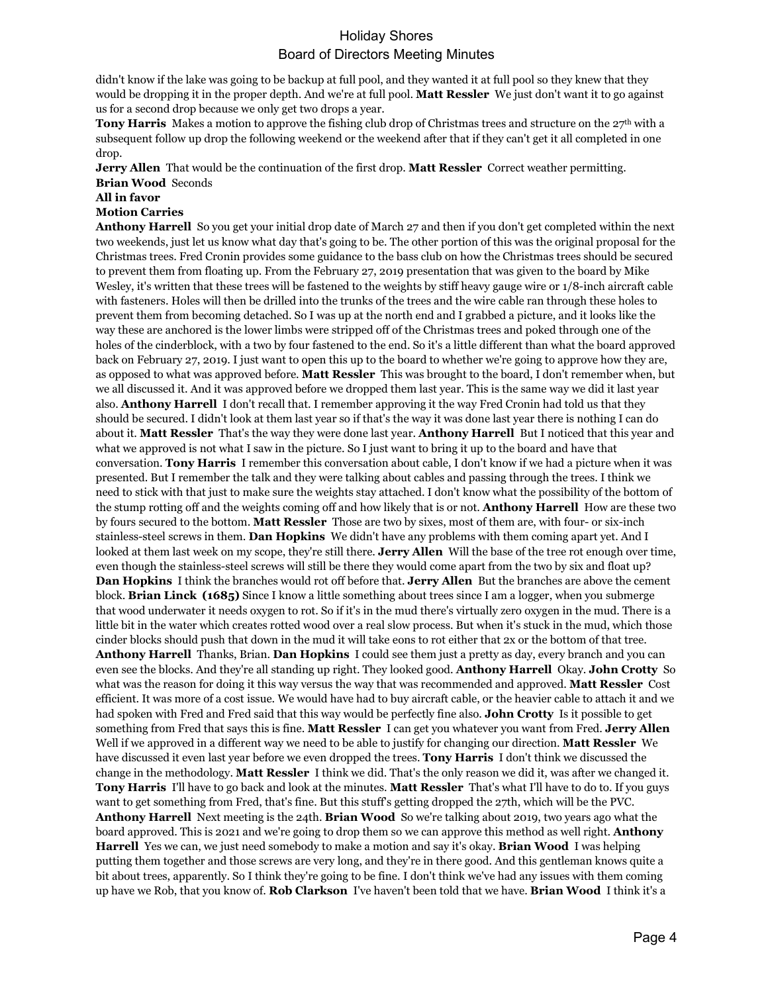didn't know if the lake was going to be backup at full pool, and they wanted it at full pool so they knew that they would be dropping it in the proper depth. And we're at full pool. **Matt Ressler** We just don't want it to go against us for a second drop because we only get two drops a year.

**Tony Harris** Makes a motion to approve the fishing club drop of Christmas trees and structure on the 27<sup>th</sup> with a subsequent follow up drop the following weekend or the weekend after that if they can't get it all completed in one drop.

**Jerry Allen** That would be the continuation of the first drop. **Matt Ressler** Correct weather permitting. **Brian Wood** Seconds

**All in favor**

### **Motion Carries**

**Anthony Harrell** So you get your initial drop date of March 27 and then if you don't get completed within the next two weekends, just let us know what day that's going to be. The other portion of this was the original proposal for the Christmas trees. Fred Cronin provides some guidance to the bass club on how the Christmas trees should be secured to prevent them from floating up. From the February 27, 2019 presentation that was given to the board by Mike Wesley, it's written that these trees will be fastened to the weights by stiff heavy gauge wire or 1/8-inch aircraft cable with fasteners. Holes will then be drilled into the trunks of the trees and the wire cable ran through these holes to prevent them from becoming detached. So I was up at the north end and I grabbed a picture, and it looks like the way these are anchored is the lower limbs were stripped off of the Christmas trees and poked through one of the holes of the cinderblock, with a two by four fastened to the end. So it's a little different than what the board approved back on February 27, 2019. I just want to open this up to the board to whether we're going to approve how they are, as opposed to what was approved before. **Matt Ressler** This was brought to the board, I don't remember when, but we all discussed it. And it was approved before we dropped them last year. This is the same way we did it last year also. **Anthony Harrell** I don't recall that. I remember approving it the way Fred Cronin had told us that they should be secured. I didn't look at them last year so if that's the way it was done last year there is nothing I can do about it. **Matt Ressler** That's the way they were done last year. **Anthony Harrell** But I noticed that this year and what we approved is not what I saw in the picture. So I just want to bring it up to the board and have that conversation. **Tony Harris** I remember this conversation about cable, I don't know if we had a picture when it was presented. But I remember the talk and they were talking about cables and passing through the trees. I think we need to stick with that just to make sure the weights stay attached. I don't know what the possibility of the bottom of the stump rotting off and the weights coming off and how likely that is or not. **Anthony Harrell** How are these two by fours secured to the bottom. **Matt Ressler** Those are two by sixes, most of them are, with four- or six-inch stainless-steel screws in them. **Dan Hopkins** We didn't have any problems with them coming apart yet. And I looked at them last week on my scope, they're still there. **Jerry Allen** Will the base of the tree rot enough over time, even though the stainless-steel screws will still be there they would come apart from the two by six and float up? **Dan Hopkins** I think the branches would rot off before that. **Jerry Allen** But the branches are above the cement block. **Brian Linck (1685)** Since I know a little something about trees since I am a logger, when you submerge that wood underwater it needs oxygen to rot. So if it's in the mud there's virtually zero oxygen in the mud. There is a little bit in the water which creates rotted wood over a real slow process. But when it's stuck in the mud, which those cinder blocks should push that down in the mud it will take eons to rot either that 2x or the bottom of that tree. **Anthony Harrell** Thanks, Brian. **Dan Hopkins** I could see them just a pretty as day, every branch and you can even see the blocks. And they're all standing up right. They looked good. **Anthony Harrell** Okay. **John Crotty** So what was the reason for doing it this way versus the way that was recommended and approved. **Matt Ressler** Cost efficient. It was more of a cost issue. We would have had to buy aircraft cable, or the heavier cable to attach it and we had spoken with Fred and Fred said that this way would be perfectly fine also. **John Crotty** Is it possible to get something from Fred that says this is fine. **Matt Ressler** I can get you whatever you want from Fred. **Jerry Allen**  Well if we approved in a different way we need to be able to justify for changing our direction. **Matt Ressler** We have discussed it even last year before we even dropped the trees. **Tony Harris** I don't think we discussed the change in the methodology. **Matt Ressler** I think we did. That's the only reason we did it, was after we changed it. **Tony Harris** I'll have to go back and look at the minutes. **Matt Ressler** That's what I'll have to do to. If you guys want to get something from Fred, that's fine. But this stuff's getting dropped the 27th, which will be the PVC. **Anthony Harrell** Next meeting is the 24th. **Brian Wood** So we're talking about 2019, two years ago what the board approved. This is 2021 and we're going to drop them so we can approve this method as well right. **Anthony Harrell** Yes we can, we just need somebody to make a motion and say it's okay. **Brian Wood** I was helping putting them together and those screws are very long, and they're in there good. And this gentleman knows quite a bit about trees, apparently. So I think they're going to be fine. I don't think we've had any issues with them coming up have we Rob, that you know of. **Rob Clarkson** I've haven't been told that we have. **Brian Wood** I think it's a